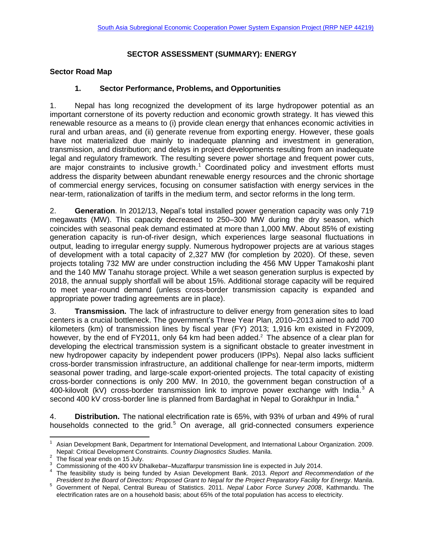# **SECTOR ASSESSMENT (SUMMARY): ENERGY**

### **Sector Road Map**

### **1. Sector Performance, Problems, and Opportunities**

1. Nepal has long recognized the development of its large hydropower potential as an important cornerstone of its poverty reduction and economic growth strategy. It has viewed this renewable resource as a means to (i) provide clean energy that enhances economic activities in rural and urban areas, and (ii) generate revenue from exporting energy. However, these goals have not materialized due mainly to inadequate planning and investment in generation, transmission, and distribution; and delays in project developments resulting from an inadequate legal and regulatory framework. The resulting severe power shortage and frequent power cuts, are major constraints to inclusive growth. $1$  Coordinated policy and investment efforts must address the disparity between abundant renewable energy resources and the chronic shortage of commercial energy services, focusing on consumer satisfaction with energy services in the near-term, rationalization of tariffs in the medium term, and sector reforms in the long term.

2. **Generation**. In 2012/13, Nepal's total installed power generation capacity was only 719 megawatts (MW). This capacity decreased to 250–300 MW during the dry season, which coincides with seasonal peak demand estimated at more than 1,000 MW. About 85% of existing generation capacity is run-of-river design, which experiences large seasonal fluctuations in output, leading to irregular energy supply. Numerous hydropower projects are at various stages of development with a total capacity of 2,327 MW (for completion by 2020). Of these, seven projects totaling 732 MW are under construction including the 456 MW Upper Tamakoshi plant and the 140 MW Tanahu storage project. While a wet season generation surplus is expected by 2018, the annual supply shortfall will be about 15%. Additional storage capacity will be required to meet year-round demand (unless cross-border transmission capacity is expanded and appropriate power trading agreements are in place).

3. **Transmission.** The lack of infrastructure to deliver energy from generation sites to load centers is a crucial bottleneck. The government's Three Year Plan, 2010–2013 aimed to add 700 kilometers (km) of transmission lines by fiscal year (FY) 2013; 1,916 km existed in FY2009, however, by the end of FY2011, only 64 km had been added.<sup>2</sup> The absence of a clear plan for developing the electrical transmission system is a significant obstacle to greater investment in new hydropower capacity by independent power producers (IPPs). Nepal also lacks sufficient cross-border transmission infrastructure, an additional challenge for near-term imports, midterm seasonal power trading, and large-scale export-oriented projects. The total capacity of existing cross-border connections is only 200 MW. In 2010, the government began construction of a 400-kilovolt (kV) cross-border transmission link to improve power exchange with India.<sup>3</sup> A second 400 kV cross-border line is planned from Bardaghat in Nepal to Gorakhpur in India.<sup>4</sup>

4. **Distribution.** The national electrification rate is 65%, with 93% of urban and 49% of rural households connected to the grid.<sup>5</sup> On average, all grid-connected consumers experience

 $\overline{a}$ 

<sup>1</sup> Asian Development Bank, Department for International Development, and International Labour Organization. 2009. Nepal: Critical Development Constraints. *Country Diagnostics Studies*. Manila.

 $2$  The fiscal year ends on 15 July.

<sup>&</sup>lt;sup>3</sup> Commissioning of the 400 kV Dhalkebar–Muzaffarpur transmission line is expected in July 2014.

<sup>4</sup> The feasibility study is being funded by Asian Development Bank. 2013. *Report and Recommendation of the President to the Board of Directors: Proposed Grant to Nepal for the Project Preparatory Facility for Energy*. Manila.

<sup>5</sup> Government of Nepal, Central Bureau of Statistics. 2011. *Nepal Labor Force Survey 2008*, Kathmandu. The electrification rates are on a household basis; about 65% of the total population has access to electricity.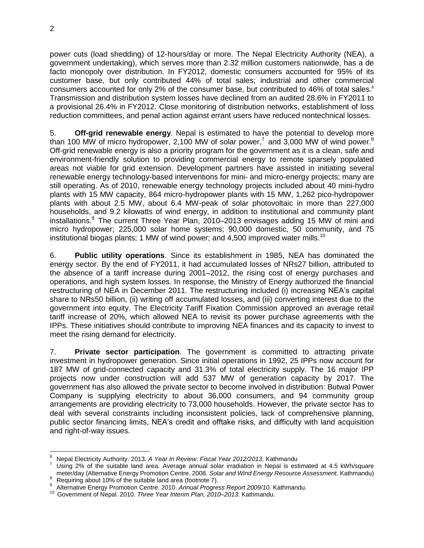power cuts (load shedding) of 12-hours/day or more. The Nepal Electricity Authority (NEA), a government undertaking), which serves more than 2.32 million customers nationwide, has a de facto monopoly over distribution. In FY2012, domestic consumers accounted for 95% of its customer base, but only contributed 44% of total sales; industrial and other commercial consumers accounted for only 2% of the consumer base, but contributed to 46% of total sales.<sup>6</sup> Transmission and distribution system losses have declined from an audited 28.6% in FY2011 to a provisional 26.4% in FY2012. Close monitoring of distribution networks, establishment of loss reduction committees, and penal action against errant users have reduced nontechnical losses.

5. **Off-grid renewable energy**. Nepal is estimated to have the potential to develop more than 100 MW of micro hydropower, 2,100 MW of solar power,<sup>7</sup> and 3,000 MW of wind power.<sup>8</sup> Off-grid renewable energy is also a priority program for the government as it is a clean, safe and environment-friendly solution to providing commercial energy to remote sparsely populated areas not viable for grid extension. Development partners have assisted in initiating several renewable energy technology-based interventions for mini- and micro-energy projects; many are still operating. As of 2010, renewable energy technology projects included about 40 mini-hydro plants with 15 MW capacity, 864 micro-hydropower plants with 15 MW, 1,262 pico-hydropower plants with about 2.5 MW, about 6.4 MW-peak of solar photovoltaic in more than 227,000 households, and 9.2 kilowatts of wind energy, in addition to institutional and community plant installations. <sup>9</sup> The current Three Year Plan, 2010–2013 envisages adding 15 MW of mini and micro hydropower; 225,000 solar home systems; 90,000 domestic, 50 community, and 75 institutional biogas plants; 1 MW of wind power; and 4,500 improved water mills.<sup>10</sup>

6. **Public utility operations**. Since its establishment in 1985, NEA has dominated the energy sector. By the end of FY2011, it had accumulated losses of NRs27 billion, attributed to the absence of a tariff increase during 2001–2012, the rising cost of energy purchases and operations, and high system losses. In response, the Ministry of Energy authorized the financial restructuring of NEA in December 2011. The restructuring included (i) increasing NEA's capital share to NRs50 billion, (ii) writing off accumulated losses, and (iii) converting interest due to the government into equity. The Electricity Tariff Fixation Commission approved an average retail tariff increase of 20%, which allowed NEA to revisit its power purchase agreements with the IPPs. These initiatives should contribute to improving NEA finances and its capacity to invest to meet the rising demand for electricity.

7. **Private sector participation**. The government is committed to attracting private investment in hydropower generation. Since initial operations in 1992, 25 IPPs now account for 187 MW of grid-connected capacity and 31.3% of total electricity supply. The 16 major IPP projects now under construction will add 537 MW of generation capacity by 2017. The government has also allowed the private sector to become involved in distribution: Butwal Power Company is supplying electricity to about 36,000 consumers, and 94 community group arrangements are providing electricity to 73,000 households. However, the private sector has to deal with several constraints including inconsistent policies, lack of comprehensive planning, public sector financing limits, NEA's credit and offtake risks, and difficulty with land acquisition and right-of-way issues.

<sup>6</sup> <sup>6</sup> Nepal Electricity Authority. 2013. *A Year In Review: Fiscal Year 2012/2013*. Kathmandu

Using 2% of the suitable land area. Average annual solar irradiation in Nepal is estimated at 4.5 kWh/square meter/day (Alternative Energy Promotion Centre. 2008. *Solar and Wind Energy Resource Assessment.* Kathmandu) <sup>8</sup> Requiring about 10% of the suitable land area (footnote 7).

<sup>9</sup>

Alternative Energy Promotion Centre. 2010. *Annual Progress Report 2009/10*. Kathmandu.

<sup>10</sup> Government of Nepal. 2010. *Three Year Interim Plan, 2010–2013*. Kathmandu.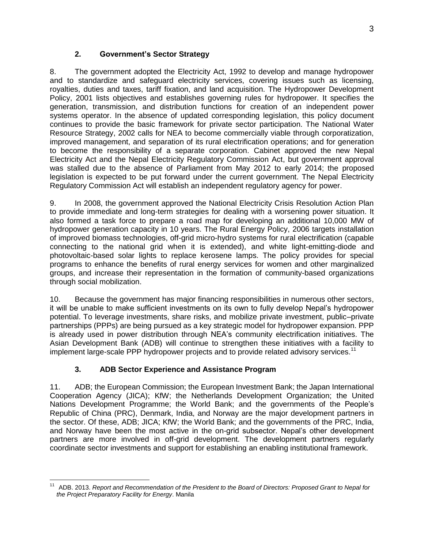# **2. Government's Sector Strategy**

8. The government adopted the Electricity Act, 1992 to develop and manage hydropower and to standardize and safeguard electricity services, covering issues such as licensing, royalties, duties and taxes, tariff fixation, and land acquisition. The Hydropower Development Policy, 2001 lists objectives and establishes governing rules for hydropower. It specifies the generation, transmission, and distribution functions for creation of an independent power systems operator. In the absence of updated corresponding legislation, this policy document continues to provide the basic framework for private sector participation. The National Water Resource Strategy, 2002 calls for NEA to become commercially viable through corporatization, improved management, and separation of its rural electrification operations; and for generation to become the responsibility of a separate corporation. Cabinet approved the new Nepal Electricity Act and the Nepal Electricity Regulatory Commission Act, but government approval was stalled due to the absence of Parliament from May 2012 to early 2014; the proposed legislation is expected to be put forward under the current government. The Nepal Electricity Regulatory Commission Act will establish an independent regulatory agency for power.

9. In 2008, the government approved the National Electricity Crisis Resolution Action Plan to provide immediate and long-term strategies for dealing with a worsening power situation. It also formed a task force to prepare a road map for developing an additional 10,000 MW of hydropower generation capacity in 10 years. The Rural Energy Policy, 2006 targets installation of improved biomass technologies, off-grid micro-hydro systems for rural electrification (capable connecting to the national grid when it is extended), and white light-emitting-diode and photovoltaic-based solar lights to replace kerosene lamps. The policy provides for special programs to enhance the benefits of rural energy services for women and other marginalized groups, and increase their representation in the formation of community-based organizations through social mobilization.

10. Because the government has major financing responsibilities in numerous other sectors, it will be unable to make sufficient investments on its own to fully develop Nepal's hydropower potential. To leverage investments, share risks, and mobilize private investment, public–private partnerships (PPPs) are being pursued as a key strategic model for hydropower expansion. PPP is already used in power distribution through NEA's community electrification initiatives. The Asian Development Bank (ADB) will continue to strengthen these initiatives with a facility to implement large-scale PPP hydropower projects and to provide related advisory services.<sup>11</sup>

# **3. ADB Sector Experience and Assistance Program**

11. ADB; the European Commission; the European Investment Bank; the Japan International Cooperation Agency (JICA); KfW; the Netherlands Development Organization; the United Nations Development Programme; the World Bank; and the governments of the People's Republic of China (PRC), Denmark, India, and Norway are the major development partners in the sector. Of these, ADB; JICA; KfW; the World Bank; and the governments of the PRC, India, and Norway have been the most active in the on-grid subsector. Nepal's other development partners are more involved in off-grid development. The development partners regularly coordinate sector investments and support for establishing an enabling institutional framework.

 $\overline{a}$ <sup>11</sup> ADB. 2013. *Report and Recommendation of the President to the Board of Directors: Proposed Grant to Nepal for the Project Preparatory Facility for Energy*. Manila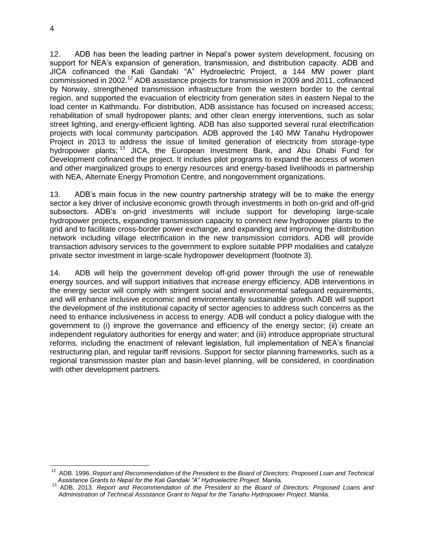12. ADB has been the leading partner in Nepal's power system development, focusing on support for NEA's expansion of generation, transmission, and distribution capacity. ADB and JICA cofinanced the Kali Gandaki "A" Hydroelectric Project, a 144 MW power plant commissioned in 2002.<sup>12</sup> ADB assistance projects for transmission in 2009 and 2011, cofinanced by Norway, strengthened transmission infrastructure from the western border to the central region, and supported the evacuation of electricity from generation sites in eastern Nepal to the load center in Kathmandu. For distribution, ADB assistance has focused on increased access; rehabilitation of small hydropower plants; and other clean energy interventions, such as solar street lighting, and energy-efficient lighting. ADB has also supported several rural electrification projects with local community participation. ADB approved the 140 MW Tanahu Hydropower Project in 2013 to address the issue of limited generation of electricity from storage-type hydropower plants;<sup>13</sup> JICA, the European Investment Bank, and Abu Dhabi Fund for Development cofinanced the project. It includes pilot programs to expand the access of women and other marginalized groups to energy resources and energy-based livelihoods in partnership with NEA, Alternate Energy Promotion Centre, and nongovernment organizations.

13. ADB's main focus in the new country partnership strategy will be to make the energy sector a key driver of inclusive economic growth through investments in both on-grid and off-grid subsectors. ADB's on-grid investments will include support for developing large-scale hydropower projects, expanding transmission capacity to connect new hydropower plants to the grid and to facilitate cross-border power exchange, and expanding and improving the distribution network including village electrification in the new transmission corridors. ADB will provide transaction advisory services to the government to explore suitable PPP modalities and catalyze private sector investment in large-scale hydropower development (footnote 3).

14. ADB will help the government develop off-grid power through the use of renewable energy sources, and will support initiatives that increase energy efficiency. ADB interventions in the energy sector will comply with stringent social and environmental safeguard requirements, and will enhance inclusive economic and environmentally sustainable growth. ADB will support the development of the institutional capacity of sector agencies to address such concerns as the need to enhance inclusiveness in access to energy. ADB will conduct a policy dialogue with the government to (i) improve the governance and efficiency of the energy sector; (ii) create an independent regulatory authorities for energy and water; and (iii) introduce appropriate structural reforms, including the enactment of relevant legislation, full implementation of NEA's financial restructuring plan, and regular tariff revisions. Support for sector planning frameworks, such as a regional transmission master plan and basin-level planning, will be considered, in coordination with other development partners.

 $\overline{a}$ 

<sup>12</sup> ADB. 1996. *Report and Recommendation of the President to the Board of Directors: Proposed Loan and Technical Assistance Grants to Nepal for the Kali Gandaki "A" Hydroelectric Project*. Manila.

<sup>13</sup> ADB. 2013. *Report and Recommendation of the President to the Board of Directors: Proposed Loans and Administration of Technical Assistance Grant to Nepal for the Tanahu Hydropower Project*. Manila.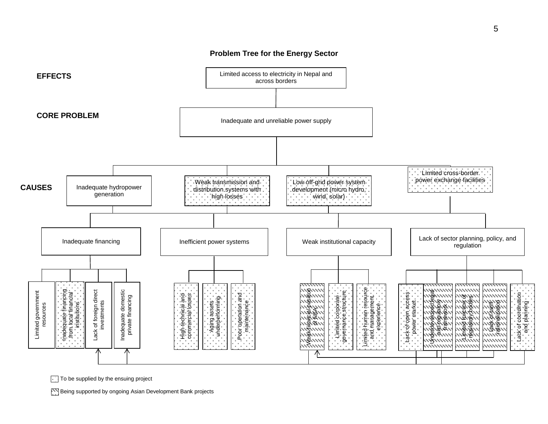

#### **Problem Tree for the Energy Sector**

 $\boxed{\cdot}$  To be supplied by the ensuing project

Being supported by ongoing Asian Development Bank projects